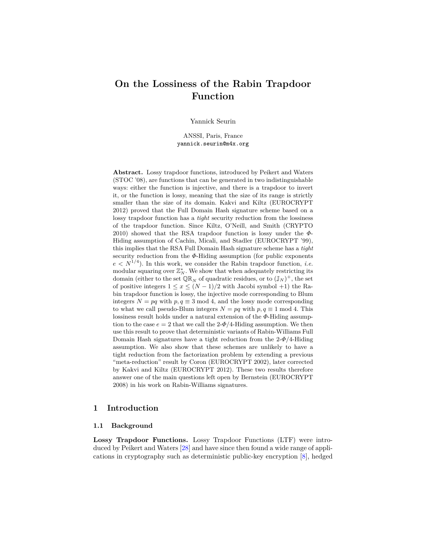# **On the Lossiness of the Rabin Trapdoor Function**

Yannick Seurin

ANSSI, Paris, France yannick.seurin@m4x.org

**Abstract.** Lossy trapdoor functions, introduced by Peikert and Waters (STOC '08), are functions that can be generated in two indistinguishable ways: either the function is injective, and there is a trapdoor to invert it, or the function is lossy, meaning that the size of its range is strictly smaller than the size of its domain. Kakvi and Kiltz (EUROCRYPT 2012) proved that the Full Domain Hash signature scheme based on a lossy trapdoor function has a *tight* security reduction from the lossiness of the trapdoor function. Since Kiltz, O'Neill, and Smith (CRYPTO 2010) showed that the RSA trapdoor function is lossy under the *Φ*-Hiding assumption of Cachin, Micali, and Stadler (EUROCRYPT '99), this implies that the RSA Full Domain Hash signature scheme has a *tight* security reduction from the *Φ*-Hiding assumption (for public exponents  $e \leq N^{1/4}$ ). In this work, we consider the Rabin trapdoor function, *i.e.* modular squaring over  $\mathbb{Z}_N^*$ . We show that when adequately restricting its domain (either to the set  $\mathbb{QR}_N$  of quadratic residues, or to  $(\mathbb{J}_N)^+$ , the set of positive integers  $1 \leq x \leq (N-1)/2$  with Jacobi symbol +1) the Rabin trapdoor function is lossy, the injective mode corresponding to Blum integers  $N = pq$  with  $p, q \equiv 3 \mod 4$ , and the lossy mode corresponding to what we call pseudo-Blum integers  $N = pq$  with  $p, q \equiv 1 \mod 4$ . This lossiness result holds under a natural extension of the *Φ*-Hiding assumption to the case  $e = 2$  that we call the 2- $\Phi/4$ -Hiding assumption. We then use this result to prove that deterministic variants of Rabin-Williams Full Domain Hash signatures have a tight reduction from the 2-*Φ*/4-Hiding assumption. We also show that these schemes are unlikely to have a tight reduction from the factorization problem by extending a previous "meta-reduction" result by Coron (EUROCRYPT 2002), later corrected by Kakvi and Kiltz (EUROCRYPT 2012). These two results therefore answer one of the main questions left open by Bernstein (EUROCRYPT 2008) in his work on Rabin-Williams signatures.

## **1 Introduction**

#### **1.1 Background**

**Lossy Trapdoor Functions.** Lossy Trapdoor Functions (LTF) were introduced by Peikert and Waters [\[28\]](#page-17-0) and have since then found a wide range of applications in cryptography such as deterministic public-key encryption [\[8\]](#page-16-0), hedged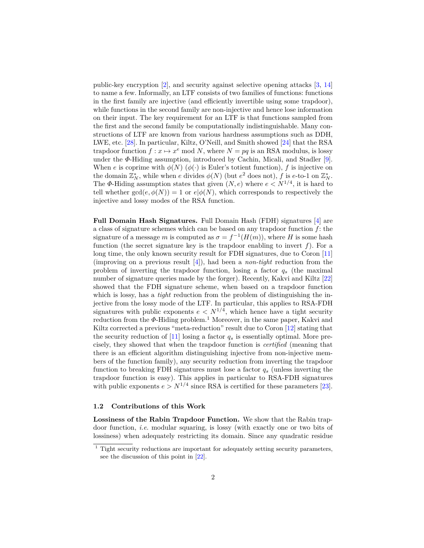public-key encryption [\[2\]](#page-16-1), and security against selective opening attacks [\[3,](#page-16-2) [14\]](#page-17-1) to name a few. Informally, an LTF consists of two families of functions: functions in the first family are injective (and efficiently invertible using some trapdoor), while functions in the second family are non-injective and hence lose information on their input. The key requirement for an LTF is that functions sampled from the first and the second family be computationally indistinguishable. Many constructions of LTF are known from various hardness assumptions such as DDH, LWE, etc. [\[28\]](#page-17-0). In particular, Kiltz, O'Neill, and Smith showed [\[24\]](#page-17-2) that the RSA trapdoor function  $f: x \mapsto x^e \mod N$ , where  $N = pq$  is an RSA modulus, is lossy under the *Φ*-Hiding assumption, introduced by Cachin, Micali, and Stadler [\[9\]](#page-16-3). When *e* is coprime with  $\phi(N)$  ( $\phi(\cdot)$  is Euler's totient function), *f* is injective on the domain  $\mathbb{Z}_N^*$ , while when *e* divides  $\phi(N)$  (but  $e^2$  does not), *f* is *e*-to-1 on  $\mathbb{Z}_N^*$ . The  $\Phi$ -Hiding assumption states that given  $(N, e)$  where  $e < N^{1/4}$ , it is hard to tell whether  $gcd(e, \phi(N)) = 1$  or  $e | \phi(N)$ , which corresponds to respectively the injective and lossy modes of the RSA function.

**Full Domain Hash Signatures.** Full Domain Hash (FDH) signatures [\[4\]](#page-16-4) are a class of signature schemes which can be based on any trapdoor function *f*: the signature of a message *m* is computed as  $\sigma = f^{-1}(H(m))$ , where *H* is some hash function (the secret signature key is the trapdoor enabling to invert  $f$ ). For a long time, the only known security result for FDH signatures, due to Coron [\[11\]](#page-16-5) (improving on a previous result [\[4\]](#page-16-4)), had been a *non-tight* reduction from the problem of inverting the trapdoor function, losing a factor *q<sup>s</sup>* (the maximal number of signature queries made by the forger). Recently, Kakvi and Kiltz [\[22\]](#page-17-3) showed that the FDH signature scheme, when based on a trapdoor function which is lossy, has a *tight* reduction from the problem of distinguishing the injective from the lossy mode of the LTF. In particular, this applies to RSA-FDH signatures with public exponents  $e < N^{1/4}$ , which hence have a tight security reduction from the  $\Phi$ -Hiding problem.<sup>1</sup> Moreover, in the same paper, Kakvi and Kiltz corrected a previous "meta-reduction" result due to Coron [\[12\]](#page-16-6) stating that the security reduction of  $[11]$  losing a factor  $q_s$  is essentially optimal. More precisely, they showed that when the trapdoor function is *certified* (meaning that there is an efficient algorithm distinguishing injective from non-injective members of the function family), any security reduction from inverting the trapdoor function to breaking FDH signatures must lose a factor *q<sup>s</sup>* (unless inverting the trapdoor function is easy). This applies in particular to RSA-FDH signatures with public exponents  $e > N^{1/4}$  since RSA is certified for these parameters [\[23\]](#page-17-4).

#### **1.2 Contributions of this Work**

**Lossiness of the Rabin Trapdoor Function.** We show that the Rabin trapdoor function, *i.e.* modular squaring, is lossy (with exactly one or two bits of lossiness) when adequately restricting its domain. Since any quadratic residue

 $1$  Tight security reductions are important for adequately setting security parameters, see the discussion of this point in [\[22\]](#page-17-3).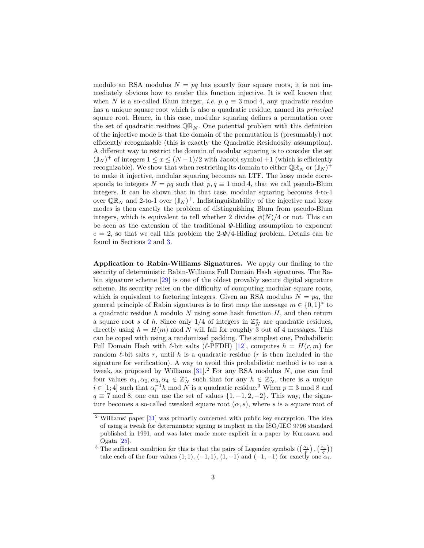modulo an RSA modulus  $N = pq$  has exactly four square roots, it is not immediately obvious how to render this function injective. It is well known that when *N* is a so-called Blum integer, *i.e.*  $p, q \equiv 3 \text{ mod } 4$ , any quadratic residue has a unique square root which is also a quadratic residue, named its *principal* square root. Hence, in this case, modular squaring defines a permutation over the set of quadratic residues  $\mathbb{QR}_N$ . One potential problem with this definition of the injective mode is that the domain of the permutation is (presumably) not efficiently recognizable (this is exactly the Quadratic Residuosity assumption). A different way to restrict the domain of modular squaring is to consider the set  $(\mathbb{J}_N)^+$  of integers  $1 \leq x \leq (N-1)/2$  with Jacobi symbol  $+1$  (which is efficiently recognizable). We show that when restricting its domain to either  $\mathbb{QR}_N$  or  $(\mathbb{J}_N)^+$ to make it injective, modular squaring becomes an LTF. The lossy mode corresponds to integers  $N = pq$  such that  $p, q \equiv 1 \mod 4$ , that we call pseudo-Blum integers. It can be shown that in that case, modular squaring becomes 4-to-1 over  $\mathbb{QR}_N$  and 2-to-1 over  $(\mathbb{J}_N)^+$ . Indistinguishability of the injective and lossy modes is then exactly the problem of distinguishing Blum from pseudo-Blum integers, which is equivalent to tell whether 2 divides  $\phi(N)/4$  or not. This can be seen as the extension of the traditional *Φ*-Hiding assumption to exponent  $e = 2$ , so that we call this problem the  $2-\Phi/4$ -Hiding problem. Details can be found in Sections [2](#page-5-0) and [3.](#page-9-0)

**Application to Rabin-Williams Signatures.** We apply our finding to the security of deterministic Rabin-Williams Full Domain Hash signatures. The Rabin signature scheme [\[29\]](#page-17-5) is one of the oldest provably secure digital signature scheme. Its security relies on the difficulty of computing modular square roots, which is equivalent to factoring integers. Given an RSA modulus  $N = pq$ , the general principle of Rabin signatures is to first map the message  $m \in \{0,1\}^*$  to a quadratic residue *h* modulo *N* using some hash function *H*, and then return a square root *s* of *h*. Since only  $1/4$  of integers in  $\mathbb{Z}_N^*$  are quadratic residues, directly using  $h = H(m) \text{ mod } N$  will fail for roughly 3 out of 4 messages. This can be coped with using a randomized padding. The simplest one, Probabilistic Full Domain Hash with  $\ell$ -bit salts ( $\ell$ -PFDH) [\[12\]](#page-16-6), computes  $h = H(r, m)$  for random  $\ell$ -bit salts  $r$ , until  $h$  is a quadratic residue ( $r$  is then included in the signature for verification). A way to avoid this probabilistic method is to use a tweak, as proposed by Williams  $[31]$ .<sup>2</sup> For any RSA modulus *N*, one can find four values  $\alpha_1, \alpha_2, \alpha_3, \alpha_4 \in \mathbb{Z}_N^*$  such that for any  $h \in \mathbb{Z}_N^*$ , there is a unique  $i \in [1, 4]$  such that  $\alpha_i^{-1}h \mod N$  is a quadratic residue.<sup>3</sup> When  $p \equiv 3 \mod 8$  and  $q \equiv 7 \mod 8$ , one can use the set of values  $\{1, -1, 2, -2\}$ . This way, the signature becomes a so-called tweaked square root  $(\alpha, s)$ , where *s* is a square root of

<sup>&</sup>lt;sup>2</sup> Williams' paper [\[31\]](#page-17-6) was primarily concerned with public key encryption. The idea of using a tweak for deterministic signing is implicit in the ISO/IEC 9796 standard published in 1991, and was later made more explicit in a paper by Kurosawa and Ogata [\[25\]](#page-17-7).

<sup>&</sup>lt;sup>3</sup> The sufficient condition for this is that the pairs of Legendre symbols  $(\frac{\alpha_i}{n}), (\frac{\alpha_i}{a})$ take each of the four values  $(1, 1)$ ,  $(-1, 1)$ ,  $(1, -1)$  and  $(-1, -1)$  for exactly one  $\alpha_i$ .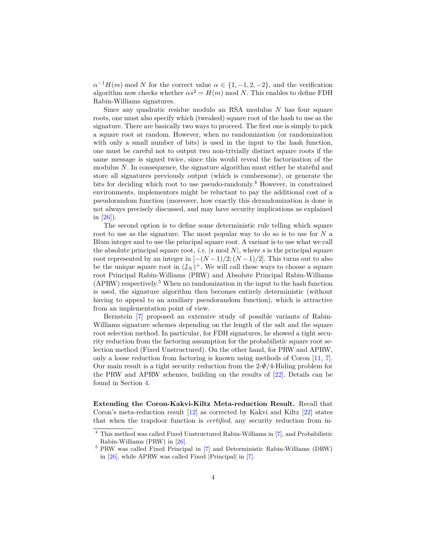$\alpha^{-1}H(m)$  mod *N* for the correct value  $\alpha \in \{1, -1, 2, -2\}$ , and the verification algorithm now checks whether  $\alpha s^2 = H(m) \text{ mod } N$ . This enables to define FDH Rabin-Williams signatures.

Since any quadratic residue modulo an RSA modulus *N* has four square roots, one must also specify which (tweaked) square root of the hash to use as the signature. There are basically two ways to proceed. The first one is simply to pick a square root at random. However, when no randomization (or randomization with only a small number of bits) is used in the input to the hash function, one must be careful not to output two non-trivially distinct square roots if the same message is signed twice, since this would reveal the factorization of the modulus *N*. In consequence, the signature algorithm must either be stateful and store all signatures previously output (which is cumbersome), or generate the bits for deciding which root to use pseudo-randomly.<sup>4</sup> However, in constrained environments, implementors might be reluctant to pay the additional cost of a pseudorandom function (moreover, how exactly this derandomization is done is not always precisely discussed, and may have security implications as explained in [\[26\]](#page-17-8)).

The second option is to define some deterministic rule telling which square root to use as the signature. The most popular way to do so is to use for *N* a Blum integer and to use the principal square root. A variant is to use what we call the absolute principal square root, *i.e.* |*s* mod *N*|, where *s* is the principal square root represented by an integer in  $[-(N-1)/2; (N-1)/2]$ . This turns out to also be the unique square root in  $(\mathbb{J}_N)^+$ . We will call these ways to choose a square root Principal Rabin-Williams (PRW) and Absolute Principal Rabin-Williams (APRW) respectively.<sup>5</sup> When no randomization in the input to the hash function is used, the signature algorithm then becomes entirely deterministic (without having to appeal to an auxiliary pseudorandom function), which is attractive from an implementation point of view.

Bernstein [\[7\]](#page-16-7) proposed an extensive study of possible variants of Rabin-Williams signature schemes depending on the length of the salt and the square root selection method. In particular, for FDH signatures, he showed a tight security reduction from the factoring assumption for the probabilistic square root selection method (Fixed Unstructured). On the other hand, for PRW and APRW, only a loose reduction from factoring is known using methods of Coron [\[11,](#page-16-5) [7\]](#page-16-7). Our main result is a tight security reduction from the 2-*Φ*/4-Hiding problem for the PRW and APRW schemes, building on the results of [\[22\]](#page-17-3). Details can be found in Section [4.](#page-12-0)

**Extending the Coron-Kakvi-Kiltz Meta-reduction Result.** Recall that Coron's meta-reduction result [\[12\]](#page-16-6) as corrected by Kakvi and Kiltz [\[22\]](#page-17-3) states that when the trapdoor function is *certified*, any security reduction from in-

<sup>4</sup> This method was called Fixed Unstructured Rabin-Williams in [\[7\]](#page-16-7), and Probabilistic Rabin-Williams (PRW) in [\[26\]](#page-17-8).

<sup>5</sup> PRW was called Fixed Principal in [\[7\]](#page-16-7) and Deterministic Rabin-Williams (DRW) in [\[26\]](#page-17-8), while APRW was called Fixed |Principal| in [\[7\]](#page-16-7).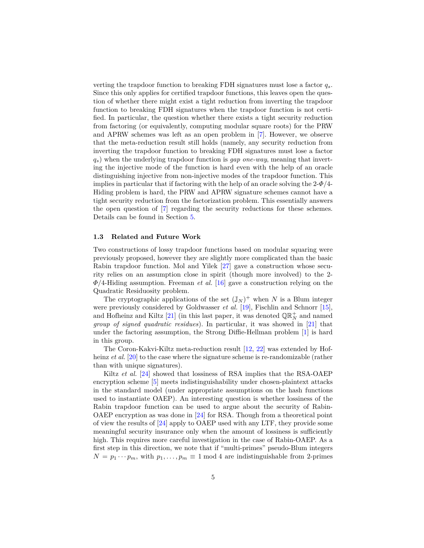verting the trapdoor function to breaking FDH signatures must lose a factor *qs*. Since this only applies for certified trapdoor functions, this leaves open the question of whether there might exist a tight reduction from inverting the trapdoor function to breaking FDH signatures when the trapdoor function is not certified. In particular, the question whether there exists a tight security reduction from factoring (or equivalently, computing modular square roots) for the PRW and APRW schemes was left as an open problem in [\[7\]](#page-16-7). However, we observe that the meta-reduction result still holds (namely, any security reduction from inverting the trapdoor function to breaking FDH signatures must lose a factor *qs*) when the underlying trapdoor function is *gap one-way*, meaning that inverting the injective mode of the function is hard even with the help of an oracle distinguishing injective from non-injective modes of the trapdoor function. This implies in particular that if factoring with the help of an oracle solving the  $2-\Phi/4$ -Hiding problem is hard, the PRW and APRW signature schemes cannot have a tight security reduction from the factorization problem. This essentially answers the open question of [\[7\]](#page-16-7) regarding the security reductions for these schemes. Details can be found in Section [5.](#page-15-0)

#### **1.3 Related and Future Work**

Two constructions of lossy trapdoor functions based on modular squaring were previously proposed, however they are slightly more complicated than the basic Rabin trapdoor function. Mol and Yilek [\[27\]](#page-17-9) gave a construction whose security relies on an assumption close in spirit (though more involved) to the 2- *Φ*/4-Hiding assumption. Freeman *et al.* [\[16\]](#page-17-10) gave a construction relying on the Quadratic Residuosity problem.

The cryptographic applications of the set  $(\mathbb{J}_N)^+$  when *N* is a Blum integer were previously considered by Goldwasser *et al.* [\[19\]](#page-17-11), Fischlin and Schnorr [\[15\]](#page-17-12), and Hofheinz and Kiltz [\[21\]](#page-17-13) (in this last paper, it was denoted  $\mathbb{QR}_{N}^{+}$  and named *group of signed quadratic residues*). In particular, it was showed in [\[21\]](#page-17-13) that under the factoring assumption, the Strong Diffie-Hellman problem [\[1\]](#page-16-8) is hard in this group.

The Coron-Kakvi-Kiltz meta-reduction result [\[12,](#page-16-6) [22\]](#page-17-3) was extended by Hofheinz *et al.* [\[20\]](#page-17-14) to the case where the signature scheme is re-randomizable (rather than with unique signatures).

Kiltz *et al.* [\[24\]](#page-17-2) showed that lossiness of RSA implies that the RSA-OAEP encryption scheme [\[5\]](#page-16-9) meets indistinguishability under chosen-plaintext attacks in the standard model (under appropriate assumptions on the hash functions used to instantiate OAEP). An interesting question is whether lossiness of the Rabin trapdoor function can be used to argue about the security of Rabin-OAEP encryption as was done in [\[24\]](#page-17-2) for RSA. Though from a theoretical point of view the results of [\[24\]](#page-17-2) apply to OAEP used with any LTF, they provide some meaningful security insurance only when the amount of lossiness is sufficiently high. This requires more careful investigation in the case of Rabin-OAEP. As a first step in this direction, we note that if "multi-primes" pseudo-Blum integers  $N = p_1 \cdots p_m$ , with  $p_1, \ldots, p_m \equiv 1 \mod 4$  are indistinguishable from 2-primes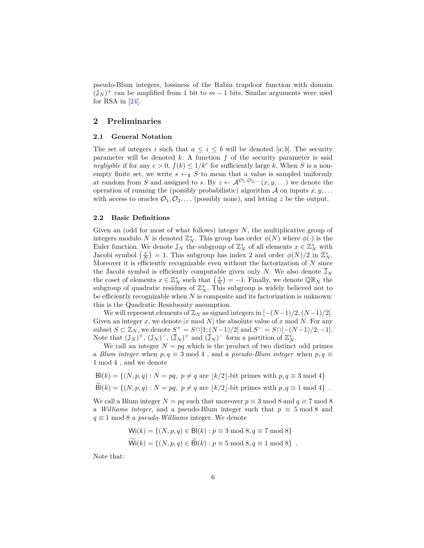pseudo-Blum integers, lossiness of the Rabin trapdoor function with domain  $(\mathbb{J}_N)^+$  can be amplified from 1 bit to  $m-1$  bits. Similar arguments were used for RSA in  $[24]$ .

## <span id="page-5-0"></span>**2 Preliminaries**

#### **2.1 General Notation**

The set of integers *i* such that  $a \leq i \leq b$  will be denoted [*a*; *b*]. The security parameter will be denoted  $k$ . A function  $f$  of the security parameter is said *negligible* if for any  $c > 0$ ,  $f(k) \leq 1/k^c$  for sufficiently large *k*. When *S* is a nonempty finite set, we write  $s \leftarrow s S$  to mean that a value is sampled uniformly at random from *S* and assigned to *s*. By  $z \leftarrow \mathcal{A}^{\mathcal{O}_1, \mathcal{O}_2, \dots} (x, y, \dots)$  we denote the operation of running the (possibly probabilistic) algorithm  $A$  on inputs  $x, y, \ldots$ with access to oracles  $\mathcal{O}_1, \mathcal{O}_2, \ldots$  (possibly none), and letting z be the output.

#### **2.2 Basic Definitions**

Given an (odd for most of what follows) integer *N*, the multiplicative group of integers modulo *N* is denoted  $\mathbb{Z}_N^*$ . This group has order  $\phi(N)$  where  $\phi(\cdot)$  is the Euler function. We denote  $\mathbb{J}_N$  the subgroup of  $\mathbb{Z}_N^*$  of all elements  $x \in \mathbb{Z}_N^*$  with Jacobi symbol  $\left(\frac{x}{N}\right) = 1$ . This subgroup has index 2 and order  $\phi(N)/2$  in  $\mathbb{Z}_N^*$ . Moreover it is efficiently recognizable even without the factorization of *N* since the Jacobi symbol is efficiently computable given only *N*. We also denote  $\mathbb{J}_N$ the coset of elements  $x \in \mathbb{Z}_N^*$  such that  $\left(\frac{x}{N}\right) = -1$ . Finally, we denote  $\mathbb{QR}_N$  the subgroup of quadratic residues of  $\mathbb{Z}_N^*$ . This subgroup is widely believed not to be efficiently recognizable when *N* is composite and its factorization is unknown: this is the Quadratic Residuosity assumption.

We will represent elements of  $\mathbb{Z}_N$  as signed integers in  $[-(N-1)/2, (N-1)/2]$ . Given an integer *x*, we denote |*x* mod *N*| the absolute value of *x* mod *N*. For any subset *S* ⊂  $\mathbb{Z}_N$ , we denote *S*<sup>+</sup> = *S*∩[1; (*N* −1)/2] and *S*<sup>−</sup> = *S*∩[−(*N* −1)/2; −1]. Note that  $(\mathbb{J}_N)^+$ ,  $(\mathbb{J}_N)^-$ ,  $(\mathbb{J}_N)^+$  and  $(\mathbb{J}_N)^-$  form a partition of  $\mathbb{Z}_N^*$ .

We call an integer  $N = pq$  which is the product of two distinct odd primes a *Blum integer* when  $p, q \equiv 3 \mod 4$ , and a *pseudo-Blum integer* when  $p, q \equiv 1$ 1 mod 4 , and we denote

 $B(k) = \{(N, p, q) : N = pq, p \neq q \text{ are } |k/2| \text{-bit primes with } p, q \equiv 3 \text{ mod } 4\}$  $\widetilde{\mathsf{Bl}}(k) = \{(N, p, q) : N = pq, p \neq q \text{ are } \lfloor k/2 \rfloor \text{-bit primes with } p, q \equiv 1 \text{ mod } 4 \}$ .

We call a Blum integer  $N = pq$  such that moreover  $p \equiv 3 \mod 8$  and  $q \equiv 7 \mod 8$ a *Williams integer*, and a pseudo-Blum integer such that  $p \equiv 5 \mod 8$  and *q* ≡ 1 mod 8 a *pseudo-Williams* integer. We denote

$$
Wi(k) = \{(N, p, q) \in Bl(k) : p \equiv 3 \mod 8, q \equiv 7 \mod 8\}
$$
  

$$
\widetilde{Wi}(k) = \{(N, p, q) \in \widetilde{Bl}(k) : p \equiv 5 \mod 8, q \equiv 1 \mod 8\}.
$$

Note that: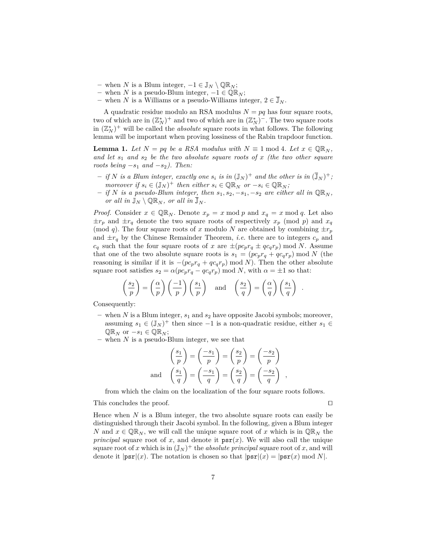- $-$  when *N* is a Blum integer,  $-1 \in \mathbb{J}_N \setminus \mathbb{Q}\mathbb{R}_N$ ;
- **–** when *N* is a pseudo-Blum integer, −1 ∈ QR*<sup>N</sup>* ;
- **–** when *N* is a Williams or a pseudo-Williams integer, 2 ∈ J*<sup>N</sup>* .

A quadratic residue modulo an RSA modulus  $N = pq$  has four square roots, two of which are in  $(\mathbb{Z}_N^*)^+$  and two of which are in  $(\mathbb{Z}_N^*)^-$ . The two square roots in  $(\mathbb{Z}_N^*)^+$  will be called the *absolute* square roots in what follows. The following lemma will be important when proving lossiness of the Rabin trapdoor function.

<span id="page-6-0"></span>**Lemma 1.** Let  $N = pq$  be a RSA modulus with  $N \equiv 1 \mod 4$ . Let  $x \in \mathbb{QR}_N$ , *and let s*<sup>1</sup> *and s*<sup>2</sup> *be the two absolute square roots of x (the two other square roots being* −*s*<sup>1</sup> *and* −*s*2*). Then:*

- $-$  *if*  $N$  *is a Blum integer, exactly one*  $s_i$  *is in*  $(\mathbb{J}_N)^+$  *and the other is in*  $(\mathbb{J}_N)^+$ *; moreover* if  $s_i \in (\mathbb{J}_N)^+$  then either  $s_i \in \mathbb{QR}_N$  or  $-s_i \in \mathbb{QR}_N$ ;
- $−$  *if N is a pseudo-Blum integer, then*  $s_1, s_2, −s_1, −s_2$  *are either all in*  $\mathbb{QR}_N$ *, or all in*  $\mathbb{J}_N \setminus \mathbb{Q}\mathbb{R}_N$ *, or all in*  $\mathbb{J}_N$ *.*

*Proof.* Consider  $x \in \mathbb{QR}_N$ . Denote  $x_p = x \mod p$  and  $x_q = x \mod q$ . Let also  $\pm r_p$  and  $\pm r_q$  denote the two square roots of respectively  $x_p$  (mod *p*) and  $x_q$ (mod *q*). The four square roots of *x* modulo *N* are obtained by combining  $\pm r_p$ and  $\pm r_q$  by the Chinese Remainder Theorem, *i.e.* there are to integers  $c_p$  and  $c_q$  such that the four square roots of *x* are  $\pm (pc_p r_q \pm qc_q r_p) \text{ mod } N$ . Assume that one of the two absolute square roots is  $s_1 = (pc_pr_q + qc_qr_p) \mod N$  (the reasoning is similar if it is  $-(pc_pr_q+qc_qr_p) \mod N$ . Then the other absolute square root satisfies  $s_2 = \alpha (pc_p r_q - qc_q r_p) \text{ mod } N$ , with  $\alpha = \pm 1$  so that:

$$
\left(\frac{s_2}{p}\right) = \left(\frac{\alpha}{p}\right) \left(\frac{-1}{p}\right) \left(\frac{s_1}{p}\right) \quad \text{and} \quad \left(\frac{s_2}{q}\right) = \left(\frac{\alpha}{q}\right) \left(\frac{s_1}{q}\right) \enspace .
$$

Consequently:

- **–** when *N* is a Blum integer, *s*<sup>1</sup> and *s*<sup>2</sup> have opposite Jacobi symbols; moreover, assuming  $s_1 \in (\mathbb{J}_N)^+$  then since  $-1$  is a non-quadratic residue, either  $s_1 \in$  $\mathbb{QR}_N$  or  $-s_1 \in \mathbb{QR}_N$ ;
- **–** when *N* is a pseudo-Blum integer, we see that

$$
\left(\frac{s_1}{p}\right) = \left(\frac{-s_1}{p}\right) = \left(\frac{s_2}{p}\right) = \left(\frac{-s_2}{p}\right)
$$
  
and 
$$
\left(\frac{s_1}{q}\right) = \left(\frac{-s_1}{q}\right) = \left(\frac{s_2}{q}\right) = \left(\frac{-s_2}{q}\right)
$$

*,*

from which the claim on the localization of the four square roots follows.

This concludes the proof.  $\Box$ 

Hence when  $N$  is a Blum integer, the two absolute square roots can easily be distinguished through their Jacobi symbol. In the following, given a Blum integer *N* and  $x \in \mathbb{QR}_N$ , we will call the unique square root of *x* which is in  $\mathbb{QR}_N$  the *principal* square root of *x*, and denote it  $psr(x)$ . We will also call the unique square root of x which is in  $(\mathbb{J}_N)^+$  the *absolute principal* square root of x, and will denote it  $|\text{psr}|(x)$ . The notation is chosen so that  $|\text{psr}|(x) = |\text{psr}(x) \bmod N|$ .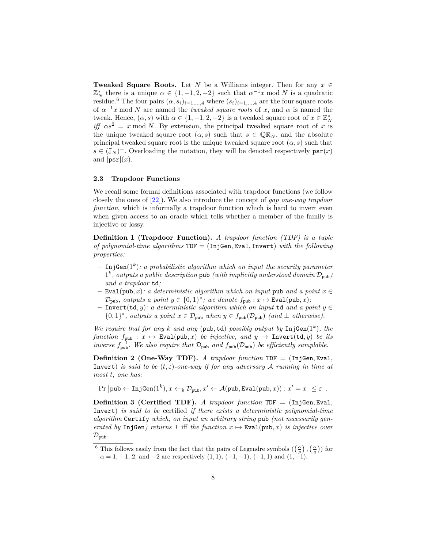**Tweaked Square Roots.** Let *N* be a Williams integer. Then for any  $x \in$  $\mathbb{Z}_N^*$  there is a unique  $\alpha \in \{1, -1, 2, -2\}$  such that  $\alpha^{-1}x \mod N$  is a quadratic residue.<sup>6</sup> The four pairs  $(\alpha, s_i)_{i=1,\dots,4}$  where  $(s_i)_{i=1,\dots,4}$  are the four square roots of  $\alpha^{-1}x$  mod N are named the *tweaked square roots* of x, and  $\alpha$  is named the tweak. Hence,  $(\alpha, s)$  with  $\alpha \in \{1, -1, 2, -2\}$  is a tweaked square root of  $x \in \mathbb{Z}_N^*$ *iff*  $\alpha s^2 = x \mod N$ . By extension, the principal tweaked square root of *x* is the unique tweaked square root  $(\alpha, s)$  such that  $s \in \mathbb{QR}_N$ , and the absolute principal tweaked square root is the unique tweaked square root  $(\alpha, s)$  such that  $s \in (\mathbb{J}_N)^+$ . Overloading the notation, they will be denoted respectively  $\text{psr}(x)$ and  $|\text{psr}|(x)$ .

#### **2.3 Trapdoor Functions**

We recall some formal definitions associated with trapdoor functions (we follow closely the ones of [\[22\]](#page-17-3)). We also introduce the concept of *gap one-way trapdoor function*, which is informally a trapdoor function which is hard to invert even when given access to an oracle which tells whether a member of the family is injective or lossy.

<span id="page-7-0"></span>**Definition 1 (Trapdoor Function).** *A trapdoor function (TDF) is a tuple of polynomial-time algorithms* TDF = (InjGen*,* Eval*,* Invert) *with the following properties:*

- **–** InjGen(1*<sup>k</sup>* )*: a probabilistic algorithm which on input the security parameter*  $1^k$ , outputs a public description pub *(with implicitly understood domain*  $\mathcal{D}_{\text{pub}}$ ) *and a trapdoor* td*;*
- **–** Eval(pub*, x*)*: a deterministic algorithm which on input* pub *and a point x* ∈  $\mathcal{D}_{\text{pub}}$ *, outputs a point*  $y \in \{0,1\}^*$ ; we denote  $f_{\text{pub}} : x \mapsto \text{Eval}(\text{pub}, x)$ ;
- **–** Invert(td*, y*)*: a deterministic algorithm which on input* td *and a point y* ∈  $\{0,1\}^*$ , outputs a point  $x \in \mathcal{D}_{\text{pub}}$  when  $y \in f_{\text{pub}}(\mathcal{D}_{\text{pub}})$  (and  $\perp$  otherwise).

*We require that for any k and any* (pub,  $td$ ) *possibly output by*  $InjGen(1<sup>k</sup>)$ *, the function*  $f_{\text{pub}}$  :  $x \mapsto \text{Eval(pub}, x)$  *be injective, and*  $y \mapsto \text{Invert}(td, y)$  *be its inverse*  $f_{\text{pub}}^{-1}$ . We also require that  $\mathcal{D}_{\text{pub}}$  and  $f_{\text{pub}}(\mathcal{D}_{\text{pub}})$  be efficiently samplable.

**Definition 2 (One-Way TDF).** *A trapdoor function* TDF = (InjGen*,* Eval*,* Invert) *is said to be*  $(t, \varepsilon)$ *-one-way if for any adversary* A *running in time at most t, one has:*

 $\Pr\left[\text{pub} \leftarrow \text{InjGen}(1^k), x \leftarrow_\$ \mathcal{D}_{\text{pub}}, x' \leftarrow \mathcal{A}(\text{pub}, \text{Eval}(\text{pub}, x)) : x' = x\right] \leq \varepsilon$ .

**Definition 3 (Certified TDF).** *A trapdoor function* TDF = (InjGen*,* Eval*,* Invert) *is said to be* certified *if there exists a deterministic polynomial-time algorithm* Certify *which, on input an arbitrary string* pub *(not necessarily generated by* InjGen*)* returns 1 iff the function  $x \mapsto$  Eval(pub, x) is injective over  $\mathcal{D}_{\text{pub}}$ .

<sup>&</sup>lt;sup>6</sup> This follows easily from the fact that the pairs of Legendre symbols  $(\left(\frac{\alpha}{p}\right), \left(\frac{\alpha}{q}\right))$  for  $\alpha = 1, -1, 2,$  and  $-2$  are respectively  $(1, 1), (-1, -1), (-1, 1)$  and  $(1, -1)$ .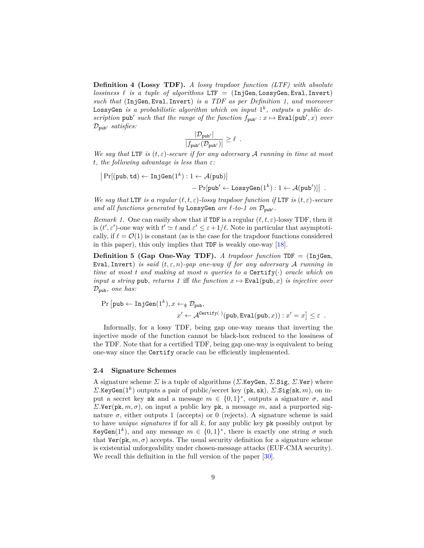**Definition 4 (Lossy TDF).** *A lossy trapdoor function (LTF) with absolute lossiness*  $\ell$  *is a tuple of algorithms* LTF = (InjGen, LossyGen, Eval, Invert) *such that* (InjGen*,* Eval*,* Invert) *is a TDF as per Definition [1,](#page-7-0) and moreover* LossyGen *is a probabilistic algorithm which on input* 1 *k , outputs a public de*scription  $\text{pub}'$  such that the range of the function  $f_{\text{pub}'} : x \mapsto \text{Eval}(\text{pub}', x)$  over  $\mathcal{D}_{\text{pub}}$  *satisfies:* 

$$
\frac{|\mathcal{D}_{\text{pub}'}|}{|f_{\text{pub}'}(\mathcal{D}_{\text{pub}'})|} \geq \ell.
$$

*We say that* LTF *is* (*t, ε*)*-secure if for any adversary* A *running in time at most t, the following advantage is less than ε:*

 $\Pr[(\text{pub}, \text{td}) \leftarrow \text{InjGen}(1^k): 1 \leftarrow \mathcal{A}(\text{pub})]$  $- \Pr[\text{pub}' \leftarrow \text{LossyGen}(1^k) : 1 \leftarrow \mathcal{A}(\text{pub}')]$ .

*We say that* LTF *is a regular*  $(\ell, t, \varepsilon)$ *-lossy trapdoor function if* LTF *is*  $(t, \varepsilon)$ *-secure* and all functions generated by LossyGen are  $\ell$ -to-1 on  $\mathcal{D}_{\text{pub}}$ .

*Remark 1.* One can easily show that if TDF is a regular  $(\ell, t, \varepsilon)$ -lossy TDF, then it is  $(t', \varepsilon')$ -one way with  $t' \simeq t$  and  $\varepsilon' \leq \varepsilon + 1/\ell$ . Note in particular that asymptotically, if  $\ell = \mathcal{O}(1)$  is constant (as is the case for the trapdoor functions considered in this paper), this only implies that TDF is weakly one-way [\[18\]](#page-17-15).

**Definition 5 (Gap One-Way TDF).** *A trapdoor function*  $TDF = (InjGen,$ Eval*,* Invert) *is said* (*t, ε, n*)*-gap one-way if for any adversary* A *running in time at most t and making at most n queries to a Certify(.) oracle which on input a string* pub, *returns* 1 iff *the function*  $x \mapsto \text{Eval}(\text{pub}, x)$  *is injective over* Dpub*, one has:*

$$
\Pr\left[\text{pub} \leftarrow \text{InjGen}(1^k), x \leftarrow \$ \mathcal{D}_{\text{pub}},
$$
\n
$$
x' \leftarrow \mathcal{A}^{\text{Certify}(\cdot)}(\text{pub}, \text{Eval}(\text{pub}, x)) : x' = x \right] \le \varepsilon.
$$

Informally, for a lossy TDF, being gap one-way means that inverting the injective mode of the function cannot be black-box reduced to the lossiness of the TDF. Note that for a certified TDF, being gap one-way is equivalent to being one-way since the Certify oracle can be efficiently implemented.

#### <span id="page-8-0"></span>**2.4 Signature Schemes**

A signature scheme *Σ* is a tuple of algorithms (*Σ.*KeyGen, *Σ.*Sig, *Σ.*Ver) where *Σ.*KeyGen(1*<sup>k</sup>* ) outputs a pair of public/secret key (pk*,* sk), *Σ.*Sig(sk*, m*), on input a secret key sk and a message  $m \in \{0,1\}^*$ , outputs a signature  $\sigma$ , and *Σ.*Ver(pk, *m*, *σ*), on input a public key pk, a message *m*, and a purported signature  $\sigma$ , either outputs 1 (accepts) or 0 (rejects). A signature scheme is said to have *unique signatures* if for all *k*, for any public key pk possibly output by KeyGen(1<sup>k</sup>), and any message  $m \in \{0,1\}^*$ , there is exactly one string  $\sigma$  such that  $\text{Ver}(pk, m, \sigma)$  accepts. The usual security definition for a signature scheme is existential unforgeability under chosen-message attacks (EUF-CMA security). We recall this definition in the full version of the paper  $[30]$ .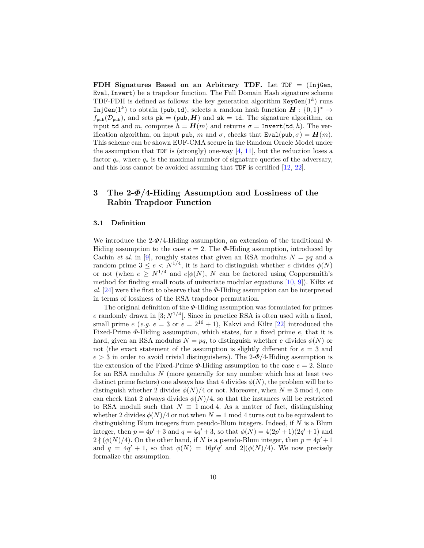**FDH Signatures Based on an Arbitrary TDF.** Let TDF = (InjGen*,* Eval*,* Invert) be a trapdoor function. The Full Domain Hash signature scheme TDF-FDH is defined as follows: the key generation algorithm  $KeyGen(1^k)$  runs InjGen(1<sup>k</sup>) to obtain (pub, td), selects a random hash function  $H: \{0,1\}^* \to$  $f_{\text{pub}}(\mathcal{D}_{\text{pub}})$ , and sets  $pk = (\text{pub}, H)$  and  $sk = td$ . The signature algorithm, on input td and *m*, computes  $h = H(m)$  and returns  $\sigma = \text{Invert}(\text{td}, h)$ . The verification algorithm, on input pub, *m* and  $\sigma$ , checks that Eval(pub,  $\sigma$ ) =  $H(m)$ . This scheme can be shown EUF-CMA secure in the Random Oracle Model under the assumption that TDF is (strongly) one-way  $[4, 11]$  $[4, 11]$  $[4, 11]$ , but the reduction loses a factor  $q_s$ , where  $q_s$  is the maximal number of signature queries of the adversary, and this loss cannot be avoided assuming that TDF is certified [\[12,](#page-16-6) [22\]](#page-17-3).

# <span id="page-9-0"></span>**3 The 2-***Φ***/4-Hiding Assumption and Lossiness of the Rabin Trapdoor Function**

#### **3.1 Definition**

We introduce the 2-*Φ*/4-Hiding assumption, an extension of the traditional *Φ*-Hiding assumption to the case  $e = 2$ . The  $\Phi$ -Hiding assumption, introduced by Cachin *et al.* in [\[9\]](#page-16-3), roughly states that given an RSA modulus  $N = pq$  and a random prime  $3 \le e \le N^{1/4}$ , it is hard to distinguish whether *e* divides  $\phi(N)$ or not (when  $e \geq N^{1/4}$  and  $e | \phi(N)$ , *N* can be factored using Coppersmith's method for finding small roots of univariate modular equations [\[10,](#page-16-10) [9\]](#page-16-3)). Kiltz *et al.* [\[24\]](#page-17-2) were the first to observe that the *Φ*-Hiding assumption can be interpreted in terms of lossiness of the RSA trapdoor permutation.

The original definition of the *Φ*-Hiding assumption was formulated for primes *e* randomly drawn in [3;  $N^{1/4}$ ]. Since in practice RSA is often used with a fixed, small prime  $e$  (*e.g.*  $e = 3$  or  $e = 2^{16} + 1$ ), Kakvi and Kiltz [\[22\]](#page-17-3) introduced the Fixed-Prime *Φ*-Hiding assumption, which states, for a fixed prime *e*, that it is hard, given an RSA modulus  $N = pq$ , to distinguish whether *e* divides  $\phi(N)$  or not (the exact statement of the assumption is slightly different for *e* = 3 and  $e > 3$  in order to avoid trivial distinguishers). The 2- $\Phi$ /4-Hiding assumption is the extension of the Fixed-Prime  $\Phi$ -Hiding assumption to the case  $e = 2$ . Since for an RSA modulus *N* (more generally for any number which has at least two distinct prime factors) one always has that 4 divides  $\phi(N)$ , the problem will be to distinguish whether 2 divides  $\phi(N)/4$  or not. Moreover, when  $N \equiv 3 \mod 4$ , one can check that 2 always divides  $\phi(N)/4$ , so that the instances will be restricted to RSA moduli such that  $N \equiv 1 \mod 4$ . As a matter of fact, distinguishing whether 2 divides  $\phi(N)/4$  or not when  $N \equiv 1 \mod 4$  turns out to be equivalent to distinguishing Blum integers from pseudo-Blum integers. Indeed, if *N* is a Blum integer, then  $p = 4p' + 3$  and  $q = 4q' + 3$ , so that  $\phi(N) = 4(2p' + 1)(2q' + 1)$  and  $2 \nmid (\phi(N)/4)$ . On the other hand, if *N* is a pseudo-Blum integer, then  $p = 4p' + 1$ and  $q = 4q' + 1$ , so that  $\phi(N) = 16p'q'$  and  $2|(\phi(N)/4)$ . We now precisely formalize the assumption.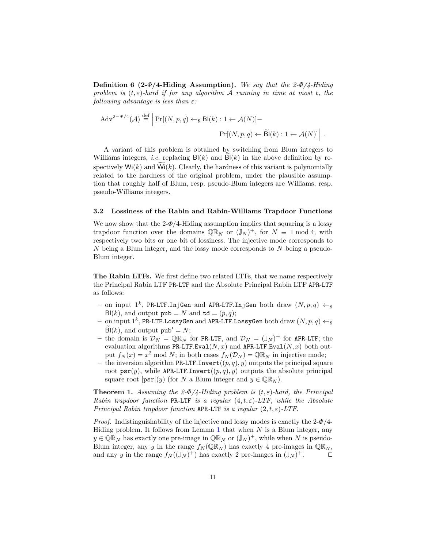**Definition 6 (2-***Φ***/4-Hiding Assumption).** *We say that the 2-Φ/4-Hiding problem is* (*t, ε*)*-hard if for any algorithm* A *running in time at most t, the following advantage is less than ε:*

$$
\text{Adv}^{2-\Phi/4}(\mathcal{A}) \stackrel{\text{def}}{=} \left| \Pr[(N, p, q) \leftarrow_{\$} \text{Bl}(k) : 1 \leftarrow \mathcal{A}(N)] - \right. \\
\left. \Pr[(N, p, q) \leftarrow \widetilde{\text{Bl}}(k) : 1 \leftarrow \mathcal{A}(N)] \right] \right| \, .
$$

A variant of this problem is obtained by switching from Blum integers to Williams integers, *i.e.* replacing  $B(k)$  and  $B(k)$  in the above definition by respectively  $Wi(k)$  and  $\widetilde{Wi}(k)$ . Clearly, the hardness of this variant is polynomially related to the hardness of the original problem, under the plausible assumption that roughly half of Blum, resp. pseudo-Blum integers are Williams, resp. pseudo-Williams integers.

#### **3.2 Lossiness of the Rabin and Rabin-Williams Trapdoor Functions**

We now show that the  $2-\Phi/4$ -Hiding assumption implies that squaring is a lossy trapdoor function over the domains  $\mathbb{QR}_N$  or  $(\mathbb{J}_N)^+$ , for  $N \equiv 1 \bmod 4$ , with respectively two bits or one bit of lossiness. The injective mode corresponds to *N* being a Blum integer, and the lossy mode corresponds to *N* being a pseudo-Blum integer.

**The Rabin LTFs.** We first define two related LTFs, that we name respectively the Principal Rabin LTF PR-LTF and the Absolute Principal Rabin LTF APR-LTF as follows:

- $-$  on input  $1^k$ , PR-LTF.InjGen and APR-LTF.InjGen both draw  $(N, p, q) \leftarrow_{\$}$  $B(k)$ , and output  $pub = N$  and  $td = (p, q)$ ;
- $-$  on input  $1^k$ , PR-LTF.LossyGen and APR-LTF.LossyGen both draw  $(N, p, q) \leftarrow_{\$}$  $B(k)$ , and output  $pub' = N$ ;
- $-$  the domain is  $\mathcal{D}_N = \mathbb{Q} \mathbb{R}_N$  for PR-LTF, and  $\mathcal{D}_N = (\mathbb{J}_N)^+$  for APR-LTF; the evaluation algorithms PR-LTF.Eval $(N, x)$  and APR-LTF.Eval $(N, x)$  both output  $f_N(x) = x^2 \mod N$ ; in both cases  $f_N(\mathcal{D}_N) = \mathbb{Q} \mathbb{R}_N$  in injective mode;
- **–** the inversion algorithm PR-LTF*.*Invert((*p, q*)*, y*) outputs the principal square root  $\text{psr}(y)$ , while APR-LTF.Invert $((p, q), y)$  outputs the absolute principal square root  $|\text{psr}|(y)$  (for *N* a Blum integer and  $y \in \mathbb{QR}_N$ ).

**Theorem 1.** *Assuming the 2-* $\Phi/4$ *-Hiding problem is*  $(t, \varepsilon)$ -*hard, the Principal Rabin trapdoor function* PR*-*LTF *is a regular* (4*, t, ε*)*-LTF, while the Absolute Principal Rabin trapdoor function* APR*-*LTF *is a regular* (2*, t, ε*)*-LTF.*

*Proof.* Indistinguishability of the injective and lossy modes is exactly the 2-*Φ*/4- Hiding problem. It follows from Lemma [1](#page-6-0) that when *N* is a Blum integer, any  $y \in \mathbb{QR}_N$  has exactly one pre-image in  $\mathbb{QR}_N$  or  $(\mathbb{J}_N)^+$ , while when *N* is pseudo-Blum integer, any *y* in the range  $f_N(\mathbb{QR}_N)$  has exactly 4 pre-images in  $\mathbb{QR}_N$ , and any *y* in the range  $f_N((J_N)^+)$  has exactly 2 pre-images in  $(J_N)^+$ .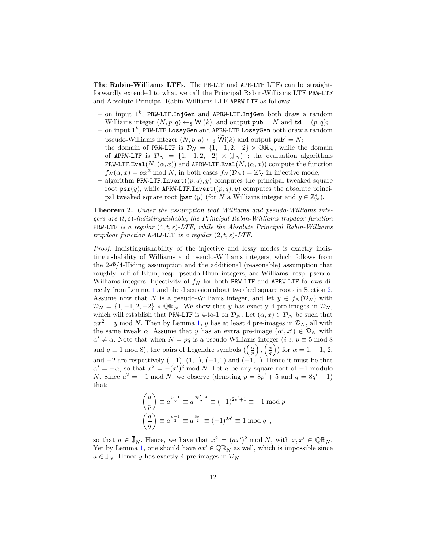**The Rabin-Williams LTFs.** The PR-LTF and APR-LTF LTFs can be straightforwardly extended to what we call the Principal Rabin-Williams LTF PRW-LTF and Absolute Principal Rabin-Williams LTF APRW-LTF as follows:

- **–** on input 1 *k* , PRW-LTF*.*InjGen and APRW-LTF*.*InjGen both draw a random Williams integer  $(N, p, q) \leftarrow_{\mathbb{S}} W(i,k)$ , and output pub = *N* and td =  $(p, q)$ ;
- **–** on input 1 *k* , PRW-LTF*.*LossyGen and APRW-LTF*.*LossyGen both draw a random pseudo-Williams integer  $(N, p, q) \leftarrow_{\S} Wi(k)$  and output pub' = *N*;
- **–** the domain of PRW-LTF is D*<sup>N</sup>* = {1*,* −1*,* 2*,* −2} × QR*<sup>N</sup>* , while the domain of APRW-LTF is  $\mathcal{D}_N = \{1, -1, 2, -2\} \times (\mathbb{J}_N)^+$ ; the evaluation algorithms PRW-LTF.Eval( $N$ ,  $(\alpha, x)$ ) and APRW-LTF.Eval( $N$ ,  $(\alpha, x)$ ) compute the function  $f_N(\alpha, x) = \alpha x^2 \mod N$ ; in both cases  $f_N(\mathcal{D}_N) = \mathbb{Z}_N^*$  in injective mode;
- **–** algorithm PRW-LTF*.*Invert((*p, q*)*, y*) computes the principal tweaked square root  $\text{psr}(y)$ , while APRW-LTF.Invert $((p, q), y)$  computes the absolute principal tweaked square root  $|\text{psr}|(y)$  (for *N* a Williams integer and  $y \in \mathbb{Z}_N^*$ ).

<span id="page-11-0"></span>**Theorem 2.** *Under the assumption that Williams and pseudo-Williams integers are* (*t, ε*)*-indistinguishable, the Principal Rabin-Williams trapdoor function* PRW*-*LTF *is a regular* (4*, t, ε*)*-LTF, while the Absolute Principal Rabin-Williams trapdoor function* APRW-LTF *is a regular*  $(2, t, \varepsilon)$ -LTF.

*Proof.* Indistinguishability of the injective and lossy modes is exactly indistinguishability of Williams and pseudo-Williams integers, which follows from the  $2-\Phi/4$ -Hiding assumption and the additional (reasonable) assumption that roughly half of Blum, resp. pseudo-Blum integers, are Williams, resp. pseudo-Williams integers. Injectivity of *f<sup>N</sup>* for both PRW-LTF and APRW-LTF follows directly from Lemma [1](#page-6-0) and the discussion about tweaked square roots in Section [2.](#page-5-0) Assume now that *N* is a pseudo-Williams integer, and let  $y \in f_N(\mathcal{D}_N)$  with  $\mathcal{D}_N = \{1, -1, 2, -2\} \times \mathbb{Q} \mathbb{R}_N$ . We show that *y* has exactly 4 pre-images in  $\mathcal{D}_N$ , which will establish that PRW-LTF is 4-to-1 on  $\mathcal{D}_N$ . Let  $(\alpha, x) \in \mathcal{D}_N$  be such that  $\alpha x^2 = y \mod N$ . Then by Lemma [1,](#page-6-0) *y* has at least 4 pre-images in  $\mathcal{D}_N$ , all with the same tweak  $\alpha$ . Assume that *y* has an extra pre-image  $(\alpha', x') \in \mathcal{D}_N$  with  $\alpha' \neq \alpha$ . Note that when  $N = pq$  is a pseudo-Williams integer (*i.e.*  $p \equiv 5 \mod 8$ ) and  $q \equiv 1 \mod 8$ , the pairs of Legendre symbols  $(\left(\frac{\alpha}{p}\right), \left(\frac{\alpha}{q}\right))$  for  $\alpha = 1, -1, 2$ , and −2 are respectively (1*,* 1), (1*,* 1), (−1*,* 1) and (−1*,* 1). Hence it must be that  $\alpha' = -\alpha$ , so that  $x^2 = -(x')^2 \mod N$ . Let *a* be any square root of −1 modulo *N*. Since  $a^2 = -1 \mod N$ , we observe (denoting  $p = 8p' + 5$  and  $q = 8q' + 1$ ) that:

$$
\left(\frac{a}{p}\right) \equiv a^{\frac{p-1}{2}} \equiv a^{\frac{8p'+4}{2}} \equiv (-1)^{2p'+1} \equiv -1 \mod p
$$
  

$$
\left(\frac{a}{q}\right) \equiv a^{\frac{q-1}{2}} \equiv a^{\frac{8q'}{2}} \equiv (-1)^{2q'} \equiv 1 \mod q,
$$

so that  $a \in \overline{\mathbb{J}}_N$ . Hence, we have that  $x^2 = (ax')^2 \mod N$ , with  $x, x' \in \mathbb{QR}_N$ . Yet by Lemma [1,](#page-6-0) one should have  $ax' \in \mathbb{QR}_N$  as well, which is impossible since  $a \in \overline{\mathbb{J}}_N$ . Hence *y* has exactly 4 pre-images in  $\mathcal{D}_N$ .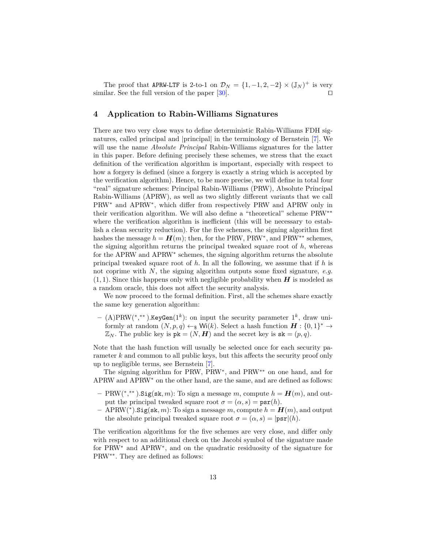The proof that APRW-LTF is 2-to-1 on  $\mathcal{D}_N = \{1, -1, 2, -2\} \times (\mathbb{J}_N)^+$  is very similar. See the full version of the paper  $[30]$ .

## <span id="page-12-0"></span>**4 Application to Rabin-Williams Signatures**

There are two very close ways to define deterministic Rabin-Williams FDH signatures, called principal and |principal| in the terminology of Bernstein [\[7\]](#page-16-7). We will use the name *Absolute Principal* Rabin-Williams signatures for the latter in this paper. Before defining precisely these schemes, we stress that the exact definition of the verification algorithm is important, especially with respect to how a forgery is defined (since a forgery is exactly a string which is accepted by the verification algorithm). Hence, to be more precise, we will define in total four "real" signature schemes: Principal Rabin-Williams (PRW), Absolute Principal Rabin-Williams (APRW), as well as two slightly different variants that we call PRW<sup>∗</sup> and APRW<sup>∗</sup> , which differ from respectively PRW and APRW only in their verification algorithm. We will also define a "theoretical" scheme PRW∗∗ where the verification algorithm is inefficient (this will be necessary to establish a clean security reduction). For the five schemes, the signing algorithm first hashes the message  $h = H(m)$ ; then, for the PRW, PRW<sup>\*</sup>, and PRW<sup>\*\*</sup> schemes, the signing algorithm returns the principal tweaked square root of  $h$ , whereas for the APRW and APRW<sup>∗</sup> schemes, the signing algorithm returns the absolute principal tweaked square root of *h*. In all the following, we assume that if *h* is not coprime with *N*, the signing algorithm outputs some fixed signature, *e.g.*  $(1, 1)$ . Since this happens only with negligible probability when *H* is modeled as a random oracle, this does not affect the security analysis.

We now proceed to the formal definition. First, all the schemes share exactly the same key generation algorithm:

**–** (A)PRW(<sup>∗</sup> *,* ∗∗ )*.*KeyGen(1*<sup>k</sup>* ): on input the security parameter 1 *k* , draw uniformly at random  $(N, p, q) \leftarrow$  Wi $(k)$ . Select a hash function  $H : \{0, 1\}^* \rightarrow$  $\mathbb{Z}_N$ . The public key is  $pk = (N, H)$  and the secret key is  $sk = (p, q)$ .

Note that the hash function will usually be selected once for each security parameter *k* and common to all public keys, but this affects the security proof only up to negligible terms, see Bernstein [\[7\]](#page-16-7).

The signing algorithm for PRW, PRW<sup>∗</sup>, and PRW<sup>∗∗</sup> on one hand, and for APRW and APRW<sup>∗</sup> on the other hand, are the same, and are defined as follows:

- $P(\mathbb{R}^n) = P(\mathbb{R}^n) \cdot \mathbb{R}^n$  is a message *m*, compute  $h = H(m)$ , and output the principal tweaked square root  $\sigma = (\alpha, s) = \text{psr}(h)$ .
- **–** APRW(<sup>∗</sup> )*.*Sig(sk*, m*): To sign a message *m*, compute *h* = *H*(*m*), and output the absolute principal tweaked square root  $\sigma = (\alpha, s) = |\text{psr}|(h)$ .

The verification algorithms for the five schemes are very close, and differ only with respect to an additional check on the Jacobi symbol of the signature made for PRW<sup>∗</sup> and APRW<sup>∗</sup> , and on the quadratic residuosity of the signature for PRW∗∗. They are defined as follows: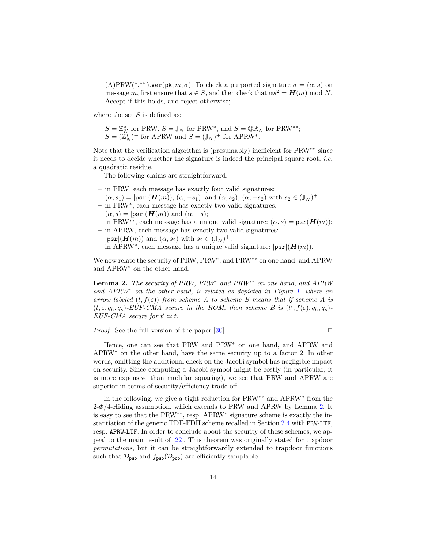$-$  (A)PRW(<sup>\*</sup>,<sup>\*\*</sup>).Ver(pk, *m*, *σ*): To check a purported signature *σ* = (*α*, *s*) on message *m*, first ensure that  $s \in S$ , and then check that  $\alpha s^2 = H(m) \text{ mod } N$ . Accept if this holds, and reject otherwise;

where the set *S* is defined as:

- 
$$
S = \mathbb{Z}_N^*
$$
 for PRW,  $S = \mathbb{J}_N$  for PRW<sup>\*</sup>, and  $S = \mathbb{QR}_N$  for PRW<sup>\*\*</sup>;  
-  $S = (\mathbb{Z}_N^*)^+$  for APRW and  $S = (\mathbb{J}_N)^+$  for APRW<sup>\*</sup>.

Note that the verification algorithm is (presumably) inefficient for PRW∗∗ since it needs to decide whether the signature is indeed the principal square root, *i.e.* a quadratic residue.

The following claims are straightforward:

- **–** in PRW, each message has exactly four valid signatures:
- $(\alpha, s_1) = |\text{psr}|(H(m)), (\alpha, -s_1), \text{ and } (\alpha, s_2), (\alpha, -s_2) \text{ with } s_2 \in (\overline{\mathbb{J}}_N)^+;$ **–** in PRW<sup>∗</sup> , each message has exactly two valid signatures:
- $(\alpha, s) = |\text{psr}|(H(m))$  and  $(\alpha, -s);$
- **–** in PRW∗∗, each message has a unique valid signature: (*α, s*) = psr(*H*(*m*));
- **–** in APRW, each message has exactly two valid signatures:
	- $|\text{psr}|(\textbf{H}(m))$  and  $(\alpha, s_2)$  with  $s_2 \in (\overline{\mathbb{J}}_N)^+;$
- **–** in APRW<sup>∗</sup> , each message has a unique valid signature: |psr|(*H*(*m*)).

We now relate the security of PRW, PRW<sup>∗</sup>, and PRW<sup>∗∗</sup> on one hand, and APRW and APRW<sup>∗</sup> on the other hand.

<span id="page-13-0"></span>**Lemma 2.** *The security of PRW, PRW*<sup>∗</sup> *and PRW*∗∗ *on one hand, and APRW and APRW*<sup>∗</sup> *on the other hand, is related as depicted in Figure [1,](#page-14-0) where an arrow labeled*  $(t, f(\varepsilon))$  *from scheme A to scheme B means that if scheme A is*  $(t, \varepsilon, q_h, q_s)$ -EUF-CMA secure in the ROM, then scheme B is  $(t', f(\varepsilon), q_h, q_s)$ -*EUF-CMA* secure for  $t' \simeq t$ .

*Proof.* See the full version of the paper  $[30]$ .

Hence, one can see that PRW and PRW<sup>∗</sup> on one hand, and APRW and APRW<sup>∗</sup> on the other hand, have the same security up to a factor 2. In other words, omitting the additional check on the Jacobi symbol has negligible impact on security. Since computing a Jacobi symbol might be costly (in particular, it is more expensive than modular squaring), we see that PRW and APRW are superior in terms of security/efficiency trade-off.

<span id="page-13-1"></span>In the following, we give a tight reduction for PRW∗∗ and APRW<sup>∗</sup> from the 2-*Φ*/4-Hiding assumption, which extends to PRW and APRW by Lemma [2.](#page-13-0) It is easy to see that the PRW∗∗, resp. APRW<sup>∗</sup> signature scheme is exactly the instantiation of the generic TDF-FDH scheme recalled in Section [2.4](#page-8-0) with PRW-LTF, resp. APRW-LTF. In order to conclude about the security of these schemes, we appeal to the main result of [\[22\]](#page-17-3). This theorem was originally stated for trapdoor *permutations*, but it can be straightforwardly extended to trapdoor functions such that  $\mathcal{D}_{\text{pub}}$  and  $f_{\text{pub}}(\mathcal{D}_{\text{pub}})$  are efficiently samplable.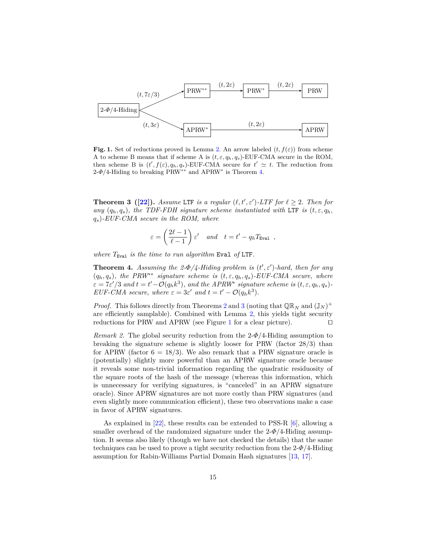

<span id="page-14-0"></span>**Fig. 1.** Set of reductions proved in Lemma [2.](#page-13-0) An arrow labeled  $(t, f(\varepsilon))$  from scheme A to scheme B means that if scheme A is  $(t, \varepsilon, q_h, q_s)$ -EUF-CMA secure in the ROM, then scheme B is  $(t', f(\varepsilon), q_h, q_s)$ -EUF-CMA secure for  $t' \simeq t$ . The reduction from  $2-\Phi/4$ -Hiding to breaking PRW<sup>\*\*</sup> and APRW<sup>\*</sup> is Theorem [4.](#page-14-1)

**Theorem 3** ([\[22\]](#page-17-3)). *Assume* LTF *is a regular*  $(\ell, t', \varepsilon')$ -LTF for  $\ell \geq 2$ *. Then for any*  $(q_h, q_s)$ *, the TDF-FDH signature scheme instantiated with* LTF *is*  $(t, \varepsilon, q_h)$ *qs*)*-EUF-CMA secure in the ROM, where*

$$
\varepsilon = \left(\frac{2\ell - 1}{\ell - 1}\right) \varepsilon' \quad and \quad t = t' - q_h T_{\text{Eval}} \quad ,
$$

*where T*Eval *is the time to run algorithm* Eval *of* LTF*.*

<span id="page-14-1"></span>**Theorem 4.** Assuming the  $2-\Phi/4$ -Hiding problem is  $(t', \varepsilon')$ -hard, then for any  $(q_h, q_s)$ , the PRW<sup>\*\*</sup> signature scheme is  $(t, \varepsilon, q_h, q_s)$ -EUF-CMA secure, where  $\varepsilon = 7\varepsilon'/3$  and  $t = t' - \mathcal{O}(q_h k^3)$ , and the APRW<sup>\*</sup> signature scheme is  $(t, \varepsilon, q_h, q_s)$ *EUF-CMA secure, where*  $\varepsilon = 3\varepsilon'$  *and*  $t = t' - \mathcal{O}(q_h k^3)$ *.* 

*Proof.* This follows directly from Theorems [2](#page-11-0) and [3](#page-13-1) (noting that  $\mathbb{QR}_N$  and  $(\mathbb{J}_N)^+$ are efficiently samplable). Combined with Lemma [2,](#page-13-0) this yields tight security reductions for PRW and APRW (see Figure [1](#page-14-0) for a clear picture).  $\Box$ 

*Remark 2.* The global security reduction from the 2-*Φ*/4-Hiding assumption to breaking the signature scheme is slightly looser for PRW (factor 28*/*3) than for APRW (factor  $6 = 18/3$ ). We also remark that a PRW signature oracle is (potentially) slightly more powerful than an APRW signature oracle because it reveals some non-trivial information regarding the quadratic residuosity of the square roots of the hash of the message (whereas this information, which is unnecessary for verifying signatures, is "canceled" in an APRW signature oracle). Since APRW signatures are not more costly than PRW signatures (and even slightly more communication efficient), these two observations make a case in favor of APRW signatures.

As explained in [\[22\]](#page-17-3), these results can be extended to PSS-R [\[6\]](#page-16-11), allowing a smaller overhead of the randomized signature under the 2-*Φ*/4-Hiding assumption. It seems also likely (though we have not checked the details) that the same techniques can be used to prove a tight security reduction from the 2-*Φ*/4-Hiding assumption for Rabin-Williams Partial Domain Hash signatures [\[13,](#page-16-12) [17\]](#page-17-17).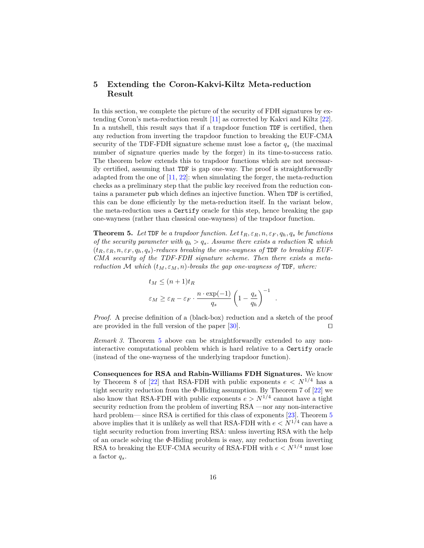# <span id="page-15-0"></span>**5 Extending the Coron-Kakvi-Kiltz Meta-reduction Result**

In this section, we complete the picture of the security of FDH signatures by extending Coron's meta-reduction result [\[11\]](#page-16-5) as corrected by Kakvi and Kiltz [\[22\]](#page-17-3). In a nutshell, this result says that if a trapdoor function TDF is certified, then any reduction from inverting the trapdoor function to breaking the EUF-CMA security of the TDF-FDH signature scheme must lose a factor *q<sup>s</sup>* (the maximal number of signature queries made by the forger) in its time-to-success ratio. The theorem below extends this to trapdoor functions which are not necessarily certified, assuming that TDF is gap one-way. The proof is straightforwardly adapted from the one of  $[11, 22]$  $[11, 22]$  $[11, 22]$ : when simulating the forger, the meta-reduction checks as a preliminary step that the public key received from the reduction contains a parameter pub which defines an injective function. When TDF is certified, this can be done efficiently by the meta-reduction itself. In the variant below, the meta-reduction uses a Certify oracle for this step, hence breaking the gap one-wayness (rather than classical one-wayness) of the trapdoor function.

<span id="page-15-1"></span>**Theorem 5.** Let TDF be a trapdoor function. Let  $t_R, \varepsilon_R, n, \varepsilon_F, q_h, q_s$  be functions *of the security parameter with*  $q_h > q_s$ . Assume there exists a reduction  $\mathcal R$  *which*  $(t_R, \varepsilon_R, n, \varepsilon_F, q_h, q_s)$ -reduces breaking the one-wayness of TDF to breaking EUF-*CMA security of the TDF-FDH signature scheme. Then there exists a metareduction* M *which*  $(t_M, \varepsilon_M, n)$ *-breaks the gap one-wayness of* TDF, *where:* 

$$
t_M \le (n+1)t_R
$$
  

$$
\varepsilon_M \ge \varepsilon_R - \varepsilon_F \cdot \frac{n \cdot \exp(-1)}{q_s} \left(1 - \frac{q_s}{q_h}\right)^{-1}
$$

*.*

*Proof.* A precise definition of a (black-box) reduction and a sketch of the proof are provided in the full version of the paper [\[30\]](#page-17-16).  $\Box$ 

*Remark 3.* Theorem [5](#page-15-1) above can be straightforwardly extended to any noninteractive computational problem which is hard relative to a Certify oracle (instead of the one-wayness of the underlying trapdoor function).

**Consequences for RSA and Rabin-Williams FDH Signatures.** We know by Theorem 8 of [\[22\]](#page-17-3) that RSA-FDH with public exponents  $e < N^{1/4}$  has a tight security reduction from the  $\Phi$ -Hiding assumption. By Theorem 7 of [\[22\]](#page-17-3) we also know that RSA-FDH with public exponents  $e > N^{1/4}$  cannot have a tight security reduction from the problem of inverting RSA —nor any non-interactive hard problem— since RSA is certified for this class of exponents [\[23\]](#page-17-4). Theorem [5](#page-15-1) above implies that it is unlikely as well that RSA-FDH with  $e < N^{1/4}$  can have a tight security reduction from inverting RSA: unless inverting RSA with the help of an oracle solving the *Φ*-Hiding problem is easy, any reduction from inverting RSA to breaking the EUF-CMA security of RSA-FDH with  $e < N^{1/4}$  must lose a factor *qs*.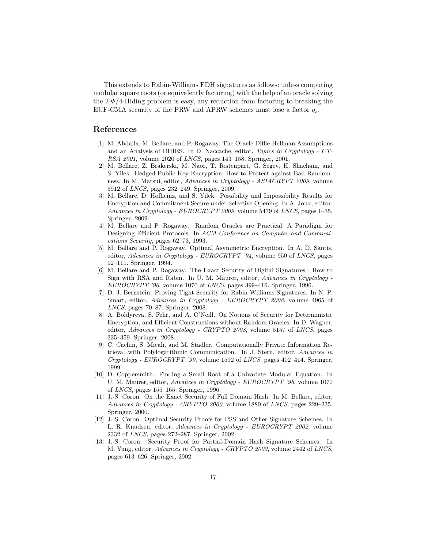This extends to Rabin-Williams FDH signatures as follows: unless computing modular square roots (or equivalently factoring) with the help of an oracle solving the 2-*Φ*/4-Hiding problem is easy, any reduction from factoring to breaking the EUF-CMA security of the PRW and APRW schemes must lose a factor *qs*.

## **References**

- <span id="page-16-8"></span>[1] M. Abdalla, M. Bellare, and P. Rogaway. The Oracle Diffie-Hellman Assumptions and an Analysis of DHIES. In D. Naccache, editor, *Topics in Cryptology - CT-RSA 2001*, volume 2020 of *LNCS*, pages 143–158. Springer, 2001.
- <span id="page-16-1"></span>[2] M. Bellare, Z. Brakerski, M. Naor, T. Ristenpart, G. Segev, H. Shacham, and S. Yilek. Hedged Public-Key Encryption: How to Protect against Bad Randomness. In M. Matsui, editor, *Advances in Cryptology - ASIACRYPT 2009*, volume 5912 of *LNCS*, pages 232–249. Springer, 2009.
- <span id="page-16-2"></span>[3] M. Bellare, D. Hofheinz, and S. Yilek. Possibility and Impossibility Results for Encryption and Commitment Secure under Selective Opening. In A. Joux, editor, *Advances in Cryptology - EUROCRYPT 2009*, volume 5479 of *LNCS*, pages 1–35. Springer, 2009.
- <span id="page-16-4"></span>[4] M. Bellare and P. Rogaway. Random Oracles are Practical: A Paradigm for Designing Efficient Protocols. In *ACM Conference on Computer and Communications Security*, pages 62–73, 1993.
- <span id="page-16-9"></span>[5] M. Bellare and P. Rogaway. Optimal Asymmetric Encryption. In A. D. Santis, editor, *Advances in Cryptology - EUROCRYPT '94*, volume 950 of *LNCS*, pages 92–111. Springer, 1994.
- <span id="page-16-11"></span>[6] M. Bellare and P. Rogaway. The Exact Security of Digital Signatures - How to Sign with RSA and Rabin. In U. M. Maurer, editor, *Advances in Cryptology - EUROCRYPT '96*, volume 1070 of *LNCS*, pages 399–416. Springer, 1996.
- <span id="page-16-7"></span>[7] D. J. Bernstein. Proving Tight Security for Rabin-Williams Signatures. In N. P. Smart, editor, *Advances in Cryptology - EUROCRYPT 2008*, volume 4965 of *LNCS*, pages 70–87. Springer, 2008.
- <span id="page-16-0"></span>[8] A. Boldyreva, S. Fehr, and A. O'Neill. On Notions of Security for Deterministic Encryption, and Efficient Constructions without Random Oracles. In D. Wagner, editor, *Advances in Cryptology - CRYPTO 2008*, volume 5157 of *LNCS*, pages 335–359. Springer, 2008.
- <span id="page-16-3"></span>[9] C. Cachin, S. Micali, and M. Stadler. Computationally Private Information Retrieval with Polylogarithmic Communication. In J. Stern, editor, *Advances in Cryptology - EUROCRYPT '99*, volume 1592 of *LNCS*, pages 402–414. Springer, 1999.
- <span id="page-16-10"></span>[10] D. Coppersmith. Finding a Small Root of a Univariate Modular Equation. In U. M. Maurer, editor, *Advances in Cryptology - EUROCRYPT '96*, volume 1070 of *LNCS*, pages 155–165. Springer, 1996.
- <span id="page-16-5"></span>[11] J.-S. Coron. On the Exact Security of Full Domain Hash. In M. Bellare, editor, *Advances in Cryptology - CRYPTO 2000*, volume 1880 of *LNCS*, pages 229–235. Springer, 2000.
- <span id="page-16-6"></span>[12] J.-S. Coron. Optimal Security Proofs for PSS and Other Signature Schemes. In L. R. Knudsen, editor, *Advances in Cryptology - EUROCRYPT 2002*, volume 2332 of *LNCS*, pages 272–287. Springer, 2002.
- <span id="page-16-12"></span>[13] J.-S. Coron. Security Proof for Partial-Domain Hash Signature Schemes. In M. Yung, editor, *Advances in Cryptology - CRYPTO 2002*, volume 2442 of *LNCS*, pages 613–626. Springer, 2002.